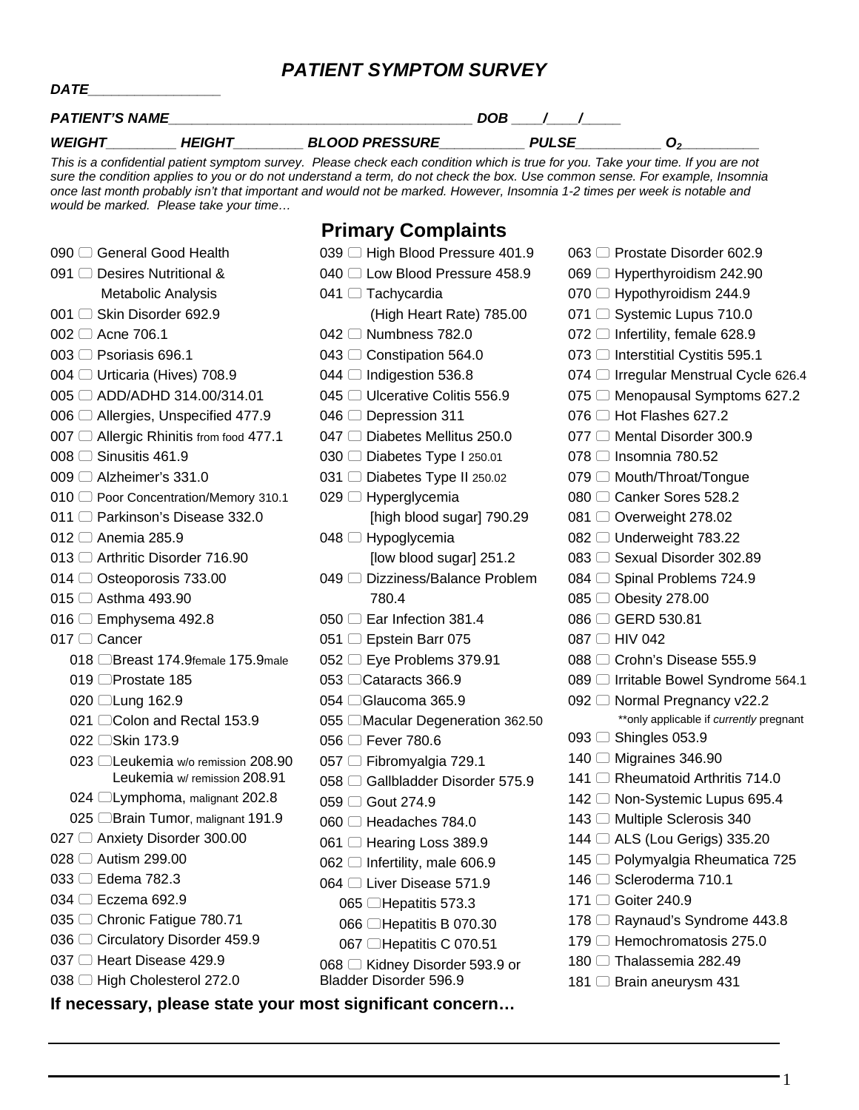#### *PATIENT SYMPTOM SURVEY*

| <b>PATIENT'S NAME</b> |        |                       | DOB |       |  |
|-----------------------|--------|-----------------------|-----|-------|--|
| <b>WEIGHT</b>         | HEIGHT | <b>BLOOD PRESSURE</b> |     | PULSE |  |

*DATE\_\_\_\_\_\_\_\_\_\_\_\_\_\_\_\_\_* 

*This is a confidential patient symptom survey. Please check each condition which is true for you. Take your time. If you are not sure the condition applies to you or do not understand a term, do not check the box. Use common sense. For example, Insomnia once last month probably isn't that important and would not be marked. However, Insomnia 1-2 times per week is notable and would be marked. Please take your time…* 

#### **Primary Complaints**

| 090 □ General Good Health                                | 039 □ High Blood Pressure 401.9      | 063 □ Prostate Disorder 602.9           |
|----------------------------------------------------------|--------------------------------------|-----------------------------------------|
| 091 □ Desires Nutritional &                              | 040 C Low Blood Pressure 458.9       | 069 □ Hyperthyroidism 242.90            |
| Metabolic Analysis                                       | 041 $\Box$ Tachycardia               | 070 □ Hypothyroidism 244.9              |
| 001 □ Skin Disorder 692.9                                | (High Heart Rate) 785.00             | 071 □ Systemic Lupus 710.0              |
| 002 □ Acne 706.1                                         | 042 <sup>O</sup> Numbness 782.0      | 072 □ Infertility, female 628.9         |
| 003 □ Psoriasis 696.1                                    | 043 ◯ Constipation 564.0             | 073 □ Interstitial Cystitis 595.1       |
| 004 □ Urticaria (Hives) 708.9                            | 044 □ Indigestion 536.8              | 074 © Irregular Menstrual Cycle 626.4   |
| 005 □ ADD/ADHD 314.00/314.01                             | 045 □ Ulcerative Colitis 556.9       | 075 © Menopausal Symptoms 627.2         |
| 006 □ Allergies, Unspecified 477.9                       | 046 □ Depression 311                 | 076 $\Box$ Hot Flashes 627.2            |
| 007 □ Allergic Rhinitis from food 477.1                  | 047 O Diabetes Mellitus 250.0        | 077 C Mental Disorder 300.9             |
| 008 <sup>□</sup> Sinusitis 461.9                         | 030 □ Diabetes Type I 250.01         | 078 <del>□</del> Insomnia 780.52        |
| 009 □ Alzheimer's 331.0                                  | 031 □ Diabetes Type II 250.02        | 079 C Mouth/Throat/Tongue               |
| 010 Poor Concentration/Memory 310.1                      | 029 $\Box$ Hyperglycemia             | 080 □ Canker Sores 528.2                |
| 011 © Parkinson's Disease 332.0                          | [high blood sugar] 790.29            | 081 ◯ Overweight 278.02                 |
| 012 <sup>O</sup> Anemia 285.9                            | 048 □ Hypoglycemia                   | 082 □ Underweight 783.22                |
| 013 □ Arthritic Disorder 716.90                          | [low blood sugar] 251.2              | 083 □ Sexual Disorder 302.89            |
| 014 ◯ Osteoporosis 733.00                                | 049 □ Dizziness/Balance Problem      | 084 ◯ Spinal Problems 724.9             |
| 015 □ Asthma 493.90                                      | 780.4                                | 085 ◯ Obesity 278.00                    |
| 016 $\Box$ Emphysema 492.8                               | 050 □ Ear Infection 381.4            | 086 □ GERD 530.81                       |
| 017 □ Cancer                                             | 051 □ Epstein Barr 075               | 087 □ HIV 042                           |
| 018 Breast 174.9female 175.9male                         | 052 $\Box$ Eye Problems 379.91       | 088 <sup>□</sup> Crohn's Disease 555.9  |
| 019 □Prostate 185                                        | 053 <del>□</del> Cataracts 366.9     | 089 □ Irritable Bowel Syndrome 564.1    |
| 020 □Lung 162.9                                          | 054 CGlaucoma 365.9                  | 092 © Normal Pregnancy v22.2            |
| 021 CColon and Rectal 153.9                              | 055 CMacular Degeneration 362.50     | **only applicable if currently pregnant |
| 022 □Skin 173.9                                          | 056 □ Fever 780.6                    | 093 $\Box$ Shingles 053.9               |
| 023 □ Leukemia w/o remission 208.90                      | 057 □ Fibromyalgia 729.1             | 140 □ Migraines 346.90                  |
| Leukemia w/ remission 208.91                             | 058 □ Gallbladder Disorder 575.9     | 141 □ Rheumatoid Arthritis 714.0        |
| 024 □ Lymphoma, malignant 202.8                          | 059 □ Gout 274.9                     | 142 © Non-Systemic Lupus 695.4          |
| 025 □Brain Tumor, malignant 191.9                        | 060 □ Headaches 784.0                | 143 □ Multiple Sclerosis 340            |
| 027 ◯ Anxiety Disorder 300.00                            | 061 □ Hearing Loss 389.9             | 144 □ ALS (Lou Gerigs) 335.20           |
| 028 □ Autism 299.00                                      | $062$ $\Box$ Infertility, male 606.9 | 145 □ Polymyalgia Rheumatica 725        |
| 033 □ Edema 782.3                                        | 064 □ Liver Disease 571.9            | 146 <sup>O</sup> Scleroderma 710.1      |
| 034 □ Eczema 692.9                                       | 065 □Hepatitis 573.3                 | 171 □ Goiter 240.9                      |
| 035 <sup>O</sup> Chronic Fatigue 780.71                  | 066 □Hepatitis B 070.30              | 178 □ Raynaud's Syndrome 443.8          |
| 036 C Circulatory Disorder 459.9                         | 067 □Hepatitis C 070.51              | 179 □ Hemochromatosis 275.0             |
| 037 □ Heart Disease 429.9                                | 068 □ Kidney Disorder 593.9 or       | 180 □ Thalassemia 282.49                |
| 038 □ High Cholesterol 272.0                             | Bladder Disorder 596.9               | 181 □ Brain aneurysm 431                |
| If necessary, please state your most significant concern |                                      |                                         |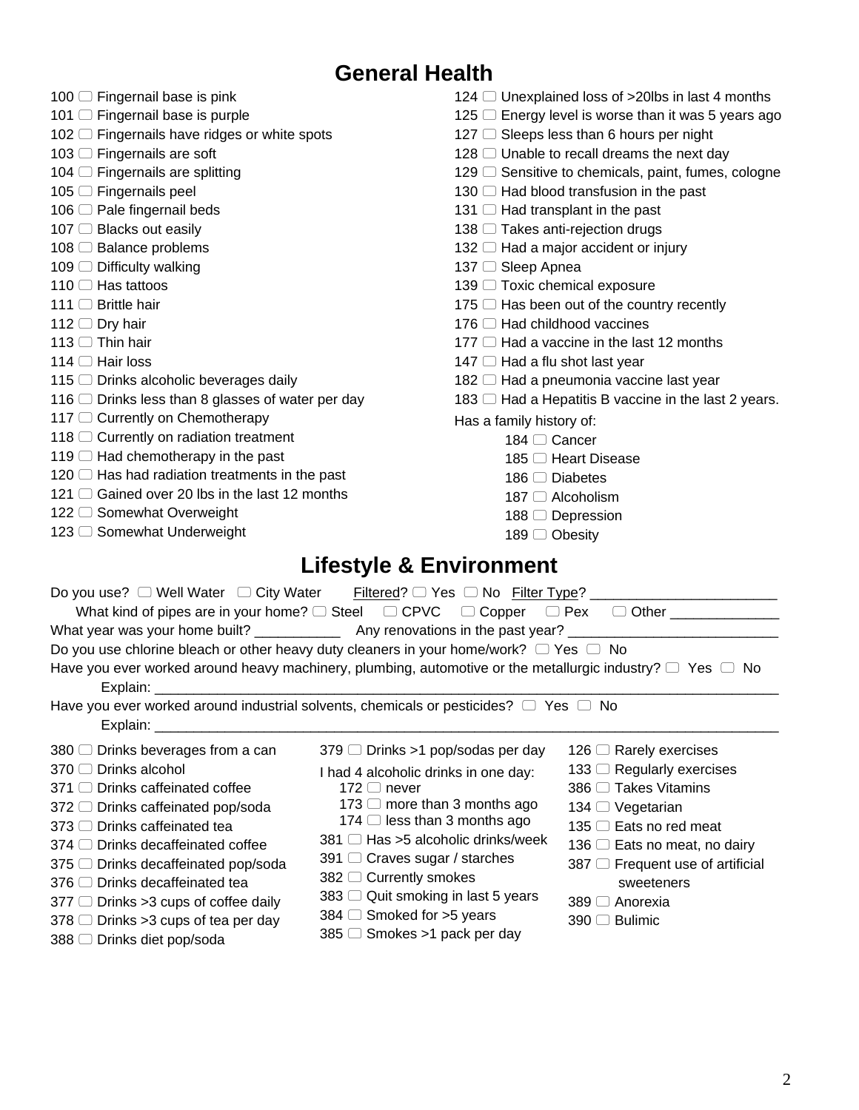|                                                         | <b>General Health</b>                                                                                               |
|---------------------------------------------------------|---------------------------------------------------------------------------------------------------------------------|
| 100 □ Fingernail base is pink                           | 124 $\Box$ Unexplained loss of >20lbs in last 4 months                                                              |
| 101 □ Fingernail base is purple                         | 125 $\Box$ Energy level is worse than it was 5 years ago                                                            |
| 102 <sup>c</sup> Fingernails have ridges or white spots | 127 ◯ Sleeps less than 6 hours per night                                                                            |
| 103 □ Fingernails are soft                              | 128 □ Unable to recall dreams the next day                                                                          |
| 104 $\Box$ Fingernails are splitting                    | 129 C Sensitive to chemicals, paint, fumes, cologne                                                                 |
| 105 □ Fingernails peel                                  | 130 $\Box$ Had blood transfusion in the past                                                                        |
| 106 □ Pale fingernail beds                              | 131 $\Box$ Had transplant in the past                                                                               |
| 107 □ Blacks out easily                                 | 138 □ Takes anti-rejection drugs                                                                                    |
| 108 □ Balance problems                                  | 132 □ Had a major accident or injury                                                                                |
| 109 □ Difficulty walking                                | 137 □ Sleep Apnea                                                                                                   |
| 110 □ Has tattoos                                       | 139 □ Toxic chemical exposure                                                                                       |
| 111 $\Box$ Brittle hair                                 | 175 □ Has been out of the country recently                                                                          |
| 112 $\Box$ Dry hair                                     | 176 $\Box$ Had childhood vaccines                                                                                   |
| 113 $\Box$ Thin hair                                    | 177 $\Box$ Had a vaccine in the last 12 months                                                                      |
| 114 $\Box$ Hair loss                                    | 147 □ Had a flu shot last year                                                                                      |
| 115 □ Drinks alcoholic beverages daily                  | 182 □ Had a pneumonia vaccine last year                                                                             |
| 116 □ Drinks less than 8 glasses of water per day       | 183 $\Box$ Had a Hepatitis B vaccine in the last 2 years.                                                           |
| 117 □ Currently on Chemotherapy                         | Has a family history of:                                                                                            |
| 118 □ Currently on radiation treatment                  | 184 □ Cancer                                                                                                        |
| 119 $\Box$ Had chemotherapy in the past                 | 185 □ Heart Disease                                                                                                 |
| 120 $\Box$ Has had radiation treatments in the past     | 186 $\Box$ Diabetes                                                                                                 |
| 121 $\Box$ Gained over 20 lbs in the last 12 months     | $187$ $\Box$ Alcoholism                                                                                             |
| 122 □ Somewhat Overweight                               | 188 □ Depression                                                                                                    |
| 123 □ Somewhat Underweight                              | 189 □ Obesity                                                                                                       |
|                                                         | <b>Lifestyle &amp; Environment</b>                                                                                  |
|                                                         |                                                                                                                     |
| Do you use? $\Box$ Well Water $\Box$ City Water         |                                                                                                                     |
|                                                         |                                                                                                                     |
|                                                         | What year was your home built? _________________ Any renovations in the past year? __________________________       |
|                                                         | Do you use chlorine bleach or other heavy duty cleaners in your home/work? $\Box$ Yes $\Box$ No                     |
| Explain:                                                | Have you ever worked around heavy machinery, plumbing, automotive or the metallurgic industry? $\Box$ Yes $\Box$ No |
| Explain: ______                                         | Have you ever worked around industrial solvents, chemicals or pesticides? $\Box$ Yes $\Box$ No                      |
| 380 ◯ Drinks beverages from a can                       | 379 □ Drinks >1 pop/sodas per day<br>126 $\Box$ Rarely exercises                                                    |
| 370 □ Drinks alcohol                                    | 133 □ Regularly exercises<br>I had 4 alcoholic drinks in one day:                                                   |
| 371 ◯ Drinks caffeinated coffee                         | 386 □ Takes Vitamins<br>172 $\Box$ never                                                                            |
| 372 □ Drinks caffeinated pop/soda                       | 173 □ more than 3 months ago<br>134 <sup>O</sup> Vegetarian                                                         |
| 373 □ Drinks caffeinated tea                            | 174 □ less than 3 months ago<br>135 □ Eats no red meat                                                              |

- -
	- 373  $\Box$  Drinks caffeinated tea
	- 374  $\Box$  Drinks decaffeinated coffee 375  $\Box$  Drinks decaffeinated pop/soda
	- 376  $\Box$  Drinks decaffeinated tea
	- $377$   $\Box$  Drinks > 3 cups of coffee daily
	- $378$   $\Box$  Drinks > 3 cups of tea per day
	- 388 <sup>O</sup> Drinks diet pop/soda
- $174 \Box$  less than 3 months ago
- $381$   $\Box$  Has >5 alcoholic drinks/week
- 391 Craves sugar / starches
- 382 Currently smokes
- $383$   $\Box$  Quit smoking in last 5 years
- $384$   $\Box$  Smoked for >5 years
- $385$   $\Box$  Smokes >1 pack per day

2

136  $\Box$  Eats no meat, no dairy  $387$   $\Box$  Frequent use of artificial sweeteners

389 <sup>∩</sup> Anorexia  $390$   $\Box$  Bulimic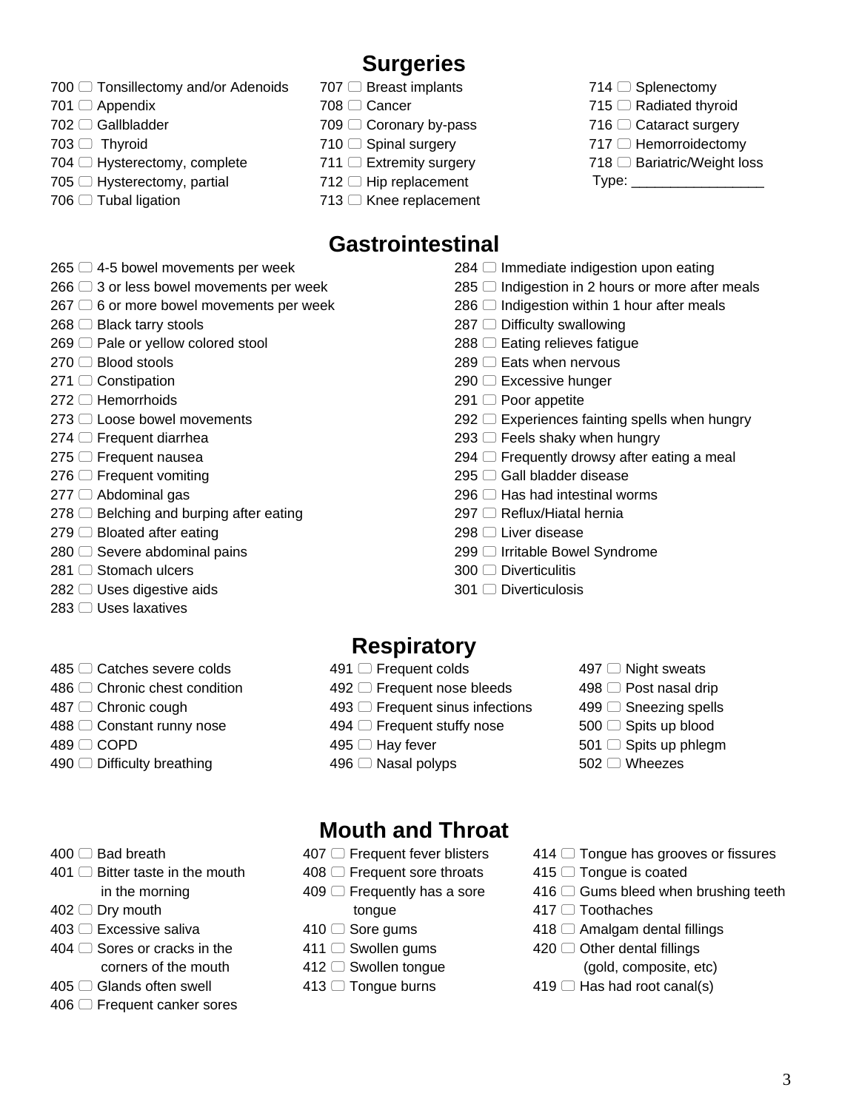# **Surgeries**

- 700  $\Box$  Tonsillectomy and/or Adenoids
- 701 □ Appendix
- 702 **Gallbladder**
- $703$  Thyroid
- 704  $\Box$  Hysterectomy, complete
- $705$   $\Box$  Hysterectomy, partial
- $706$   $\Box$  Tubal ligation
- 707 **Breast implants**
- 708 □ Cancer
- 709 Coronary by-pass
- $710$  Spinal surgery
- $711$   $\Box$  Extremity surgery
- $712$   $\Box$  Hip replacement
- $713$   $\Box$  Knee replacement

# **Gastrointestinal**

- $265$   $\Box$  4-5 bowel movements per week
- $266 \bigcirc$  3 or less bowel movements per week
- $267 \bigcirc$  6 or more bowel movements per week
- $268$   $\Box$  Black tarry stools
- $269$   $\Box$  Pale or yellow colored stool
- $270$   $\Box$  Blood stools
- $271 \cap$  Constipation
- $272 \Box$  Hemorrhoids
- 273 □ Loose bowel movements
- $274$   $\Box$  Frequent diarrhea
- 275 <del>□</del> Frequent nausea
- $276$   $\Box$  Frequent vomiting
- 277  $\Box$  Abdominal gas
- $278$   $\Box$  Belching and burping after eating
- $279$   $\Box$  Bloated after eating
- $280 \cap$  Severe abdominal pains
- 281 <del>○</del> Stomach ulcers
- 282 □ Uses digestive aids
- 283 □ Uses laxatives
- 485 ◯ Catches severe colds
- 486 ◯ Chronic chest condition
- 487 ◯ Chronic cough
- 488 C Constant runny nose
- 489 <del>□</del> COPD
- $490$   $\Box$  Difficulty breathing
- $400$   $\Box$  Bad breath
- $401$   $\Box$  Bitter taste in the mouth
- in the morning 402 □ Dry mouth
- 403 □ Excessive saliva
- $404 \cap$  Sores or cracks in the
- corners of the mouth
- 405 □ Glands often swell
- 406 <del>□</del> Frequent canker sores
- $284$   $\Box$  Immediate indigestion upon eating
- $285$   $\Box$  Indigestion in 2 hours or more after meals
- $286$   $\Box$  Indigestion within 1 hour after meals
- 287 ◯ Difficulty swallowing
- $288$   $\Box$  Eating relieves fatigue
- $289$   $\Box$  Eats when nervous
- 290 □ Excessive hunger
- $291$   $\Box$  Poor appetite
- $292$   $\Box$  Experiences fainting spells when hungry
- $293$   $\Box$  Feels shaky when hungry
- $294$   $\Box$  Frequently drowsy after eating a meal
- 295 ◯ Gall bladder disease
- $296$   $\Box$  Has had intestinal worms
- 297 Reflux/Hiatal hernia
- 298 □ Liver disease
- 299 <sup>□</sup> Irritable Bowel Syndrome
- 300 □ Diverticulitis
- 301 □ Diverticulosis

## **Respiratory**

- 491 **□ Frequent colds**
- 492  $\Box$  Frequent nose bleeds
- $493$   $\Box$  Frequent sinus infections
- 494 **□ Frequent stuffy nose**
- $495$   $\Box$  Hay fever
- 496 <sup>O</sup> Nasal polyps
- 497 <sup>O</sup> Night sweats
- 498 <sup>∩</sup> Post nasal drip
- 499 <sup>○</sup> Sneezing spells
- 500 Spits up blood
- $501$   $\Box$  Spits up phlegm
- $502 \cap$  Wheezes

## **Mouth and Throat**

- 407 **□ Frequent fever blisters**
- 408  $\Box$  Frequent sore throats
- $409$   $\Box$  Frequently has a sore
	- tongue
- $410$  Sore gums
- 411 <sup>○</sup> Swollen gums
- 412 □ Swollen tongue
- 413 <sup>□</sup> Tongue burns
- $414$   $\Box$  Tongue has grooves or fissures
- $415$   $\Box$  Tongue is coated
- $416$   $\Box$  Gums bleed when brushing teeth
- 417 □ Toothaches
- $418$   $\Box$  Amalgam dental fillings
- 420  $\Box$  Other dental fillings
	- (gold, composite, etc)
- $419$   $\Box$  Has had root canal(s)
- $714$   $\Box$  Splenectomy  $715$   $\Box$  Radiated thyroid 716 ◯ Cataract surgery  $717$   $\Box$  Hemorroidectomy  $718$   $\Box$  Bariatric/Weight loss
- Type: \_\_\_\_\_\_\_\_\_\_\_\_\_\_\_\_\_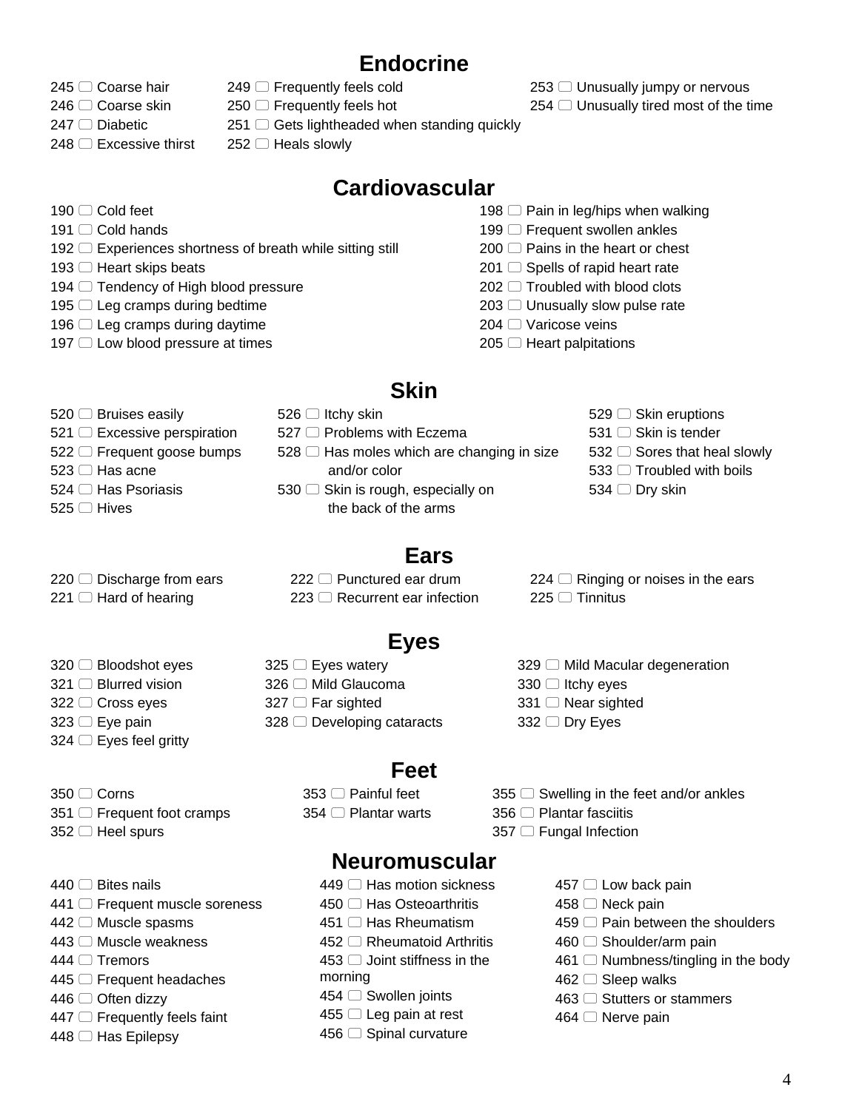# **Endocrine**

- 245 <sup>○</sup> Coarse hair
- 246 <sup>○</sup> Coarse skin
- $247$   $\Box$  Diabetic

 $190 \square$  Cold feet 191 Cold hands

 $248$   $\Box$  Excessive thirst

193  $\Box$  Heart skips beats

- $249$   $\Box$  Frequently feels cold  $250$   $\Box$  Frequently feels hot
- $251$   $\Box$  Gets lightheaded when standing quickly
- $252 \Box$  Heals slowly

192  $\Box$  Experiences shortness of breath while sitting still

## **Cardiovascular**

- 198  $\Box$  Pain in leg/hips when walking
- $199$   $\Box$  Frequent swollen ankles
- $200$   $\Box$  Pains in the heart or chest
- $201$   $\Box$  Spells of rapid heart rate
- $202$   $\Box$  Troubled with blood clots
- $203$   $\Box$  Unusually slow pulse rate
- 204 <sup>O</sup> Varicose veins
- $205$   $\Box$  Heart palpitations

## **Skin**

- 520 **Bruises easily**
- $521$   $\Box$  Excessive perspiration

 $197$   $\Box$  Low blood pressure at times

- 522  $\Box$  Frequent goose bumps  $523$   $\Box$  Has acne
- $524 \cap$  Has Psoriasis
- 
- 525 □ Hives
- $528$   $\Box$  Has moles which are changing in size and/or color
- $530$   $\Box$  Skin is rough, especially on the back of the arms
- 529 <sup>Skin</sup> eruptions
- 531 □ Skin is tender
- 532  $\Box$  Sores that heal slowly
- $533$   $\Box$  Troubled with boils
- 534  $\Box$  Dry skin

 $220$   $\Box$  Discharge from ears  $221$   $\Box$  Hard of hearing

320 □ Bloodshot eyes 321 □ Blurred vision 322 □ Cross eyes  $323$   $\Box$  Eye pain  $324$   $\Box$  Eyes feel gritty

- 222 Punctured ear drum  $223$   $\Box$  Recurrent ear infection
- $224 \Box$  Ringing or noises in the ears  $225$   $\Box$  Tinnitus

# **Eyes**

**Ears** 

- $325$   $\Box$  Eyes watery 326 <sup>□</sup> Mild Glaucoma
	- $327$   $\Box$  Far sighted
	- $328$   $\Box$  Developing cataracts

## **Feet**

- 353 <sup>□</sup> Painful feet 354 <sup>□</sup> Plantar warts
- 

 $329$   $\Box$  Mild Macular degeneration

- $350$   $\Box$  Corns  $351$   $\Box$  Frequent foot cramps
- 
- $352$   $\Box$  Heel spurs
- $440 \cap$  Bites nails
- 441 **□ Frequent muscle soreness**
- $442 \Box$  Muscle spasms
- 443 <sup>O</sup> Muscle weakness
- $444 \Box$  Tremors
- $445$   $\Box$  Frequent headaches
- $446$   $\Box$  Often dizzy
- $447$   $\Box$  Frequently feels faint
- $448$   $\Box$  Has Epilepsy
- 
- $355$   $\Box$  Swelling in the feet and/or ankles 356 □ Plantar fasciitis
- 357 □ Fungal Infection

 $330$   $\Box$  Itchy eyes 331 □ Near sighted  $332 \Box$  Dry Eyes

#### **Neuromuscular**

- $449$   $\Box$  Has motion sickness
- 450 □ Has Osteoarthritis
- $451$   $\Box$  Has Rheumatism
- 452 C Rheumatoid Arthritis
- $453$   $\Box$  Joint stiffness in the morning
- $454$   $\Box$  Swollen joints
- $455 \Box$  Leg pain at rest
- 456 <sup>Spinal</sup> curvature
- 457 □ Low back pain
	- $458$   $\Box$  Neck pain
	- $459$   $\Box$  Pain between the shoulders
	- $460$   $\Box$  Shoulder/arm pain
	- $461$   $\Box$  Numbness/tingling in the body
	- $462$   $\Box$  Sleep walks
	- $463$   $\Box$  Stutters or stammers
	- 464 <sup>O</sup> Nerve pain

4

 $254$   $\Box$  Unusually tired most of the time

 $253$   $\Box$  Unusually jumpy or nervous

- -
- 194  $\Box$  Tendency of High blood pressure  $195$   $\Box$  Leg cramps during bedtime 196  $\Box$  Leg cramps during daytime
	- -
	- $526$   $\Box$  Itchy skin
	- 527  $\Box$  Problems with Eczema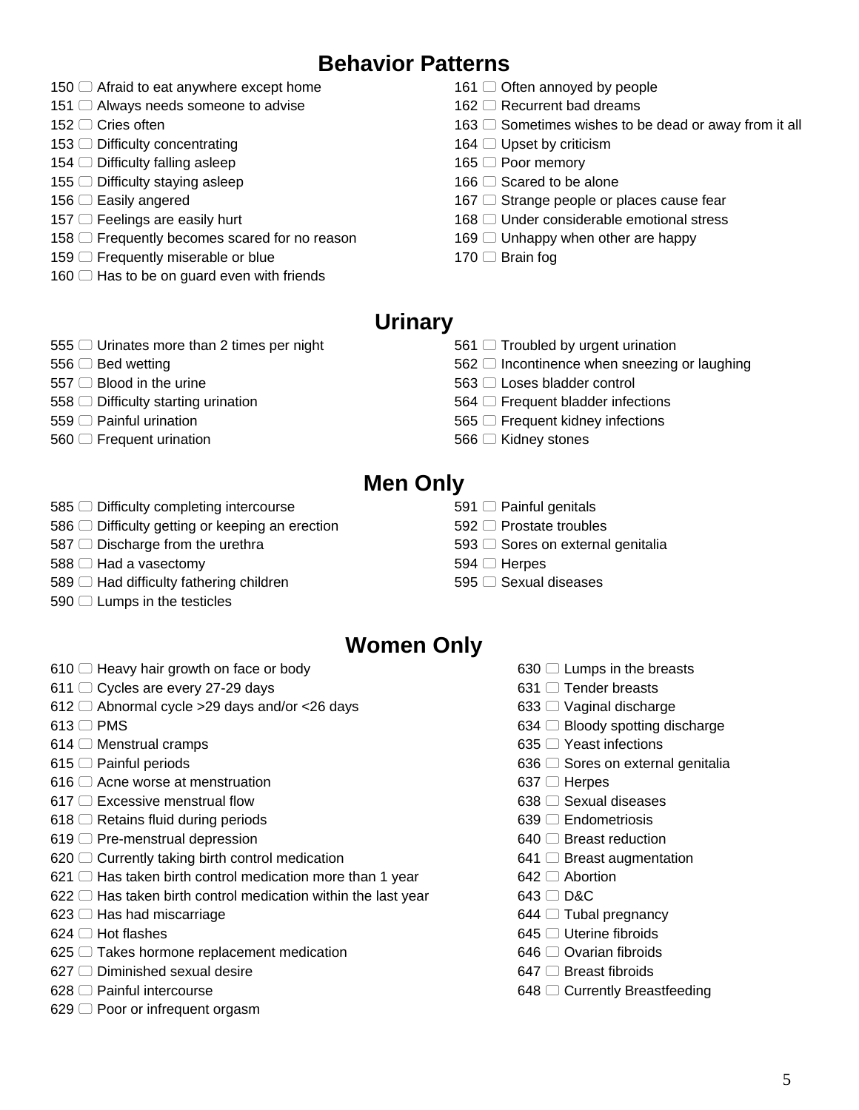# **Behavior Patterns**

- $\Box$  Afraid to eat anywhere except home
- $\Box$  Always needs someone to advise
- 152 □ Cries often
- $\Box$  Difficulty concentrating
- $\Box$  Difficulty falling asleep
- $\Box$  Difficulty staying asleep
- 156 □ Easily angered
- $157 \Box$  Feelings are easily hurt
- 158  $\Box$  Frequently becomes scared for no reason
- $\Box$  Frequently miserable or blue
- $\Box$  Has to be on guard even with friends
- $\Box$  Often annoyed by people
- 162  $\Box$  Recurrent bad dreams
- $\Box$  Sometimes wishes to be dead or away from it all
- $\Box$  Upset by criticism
- 165  $□$  Poor memory
- $166 \cap$  Scared to be alone
- $\Box$  Strange people or places cause fear
- 168  $\Box$  Under considerable emotional stress
- $\Box$  Unhappy when other are happy
- 170 □ Brain fog

#### **Urinary**

- $\Box$  Urinates more than 2 times per night
- $\Box$  Bed wetting
- $\Box$  Blood in the urine
- $\Box$  Difficulty starting urination
- 559 <sup>O</sup> Painful urination
- $\Box$  Frequent urination
- $\Box$  Troubled by urgent urination
- $\Box$  Incontinence when sneezing or laughing
- 563 □ Loses bladder control
- 564  $\Box$  Frequent bladder infections
- 565  $\Box$  Frequent kidney infections
- 566 <sup>■</sup> Kidney stones

## **Men Only**

- 585  $\Box$  Difficulty completing intercourse
- $\Box$  Difficulty getting or keeping an erection
- $\Box$  Discharge from the urethra
- $588 \Box$  Had a vasectomy
- $\Box$  Had difficulty fathering children
- $\Box$  Lumps in the testicles
- $\Box$  Painful genitals
- 592 <sup>□</sup> Prostate troubles
- $\Box$  Sores on external genitalia
- $\Box$  Herpes
- 595 <del>□</del> Sexual diseases

## **Women Only**

- $\Box$  Heavy hair growth on face or body
- 611 ◯ Cycles are every 27-29 days
- 612  $\Box$  Abnormal cycle > 29 days and/or < 26 days
- $\Box$  PMS
- $\Box$  Menstrual cramps
- $\Box$  Painful periods
- $\Box$  Acne worse at menstruation
- 617  $\Box$  Excessive menstrual flow
- $\Box$  Retains fluid during periods
- $\Box$  Pre-menstrual depression
- $\Box$  Currently taking birth control medication
- $\Box$  Has taken birth control medication more than 1 year
- $\Box$  Has taken birth control medication within the last year
- $\Box$  Has had miscarriage
- $\Box$  Hot flashes
- $\Box$  Takes hormone replacement medication
- $\Box$  Diminished sexual desire
- 628 <sup>□</sup> Painful intercourse
- $\Box$  Poor or infrequent orgasm
- $\Box$  Lumps in the breasts
- $\Box$  Tender breasts
- $\Box$  Vaginal discharge
- $\Box$  Bloody spotting discharge
- $\Box$  Yeast infections
- $\Box$  Sores on external genitalia
- 637 □ Herpes
- $\Box$  Sexual diseases
- Endometriosis
- **Breast reduction**
- $\Box$  Breast augmentation
- 642 □ Abortion
- 643 □ D&C
- $\Box$  Tubal pregnancy
- 645 □ Uterine fibroids
- 646 <del>○</del> Ovarian fibroids
- $\Box$  Breast fibroids
- $\Box$  Currently Breastfeeding